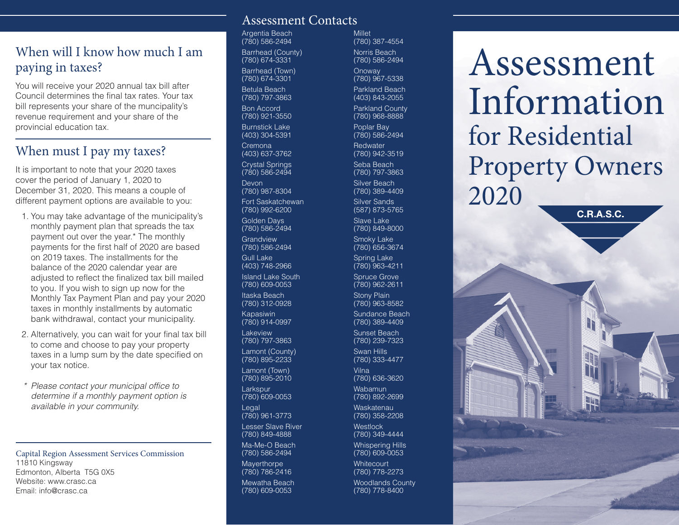## When will I know how much I am paying in taxes?

You will receive your 2020 annual tax bill after Council determines the final tax rates. Your tax bill represents your share of the muncipality's revenue requirement and your share of the provincial education tax.

## When must I pay my taxes?

It is important to note that your 2020 taxes cover the period of January 1, 2020 to December 31, 2020. This means a couple of different payment options are available to you:

- 1. You may take advantage of the municipality's monthly payment plan that spreads the tax payment out over the year.\* The monthly payments for the first half of 2020 are based on 2019 taxes. The installments for the balance of the 2020 calendar year are adjusted to reflect the finalized tax bill mailed to you. If you wish to sign up now for the Monthly Tax Payment Plan and pay your 2020 taxes in monthly installments by automatic bank withdrawal, contact your municipality.
- 2. Alternatively, you can wait for your final tax bill to come and choose to pay your property taxes in a lump sum by the date specified on your tax notice.
- *\* Please contact your municipal office to determine if a monthly payment option is available in your community.*

Capital Region Assessment Services Commission 11810 Kingsway Edmonton, Alberta T5G 0X5 Website: www.crasc.ca Email: info@crasc.ca

#### Assessment Contacts

Argentia Beach (780) 586-2494 Barrhead (County) (780) 674-3331 Barrhead (Town) (780) 674-3301 Betula Beach (780) 797-3863 Bon Accord (780) 921-3550

Burnstick Lake (403) 304-5391

Cremona (403) 637-3762 Crystal Springs

(780) 586-2494 Devon

(780) 987-8304 Fort Saskatchewan

(780) 992-6200 Golden Days (780) 586-2494 **Grandview** (780) 586-2494

Gull Lake (403) 748-2966

Island Lake South (780) 609-0053 Itaska Beach

(780) 312-0928 Kapasiwin (780) 914-0997

Lakeview (780) 797-3863 Lamont (County) (780) 895-2233

Lamont (Town) (780) 895-2010 **Larkspur** 

(780) 609-0053 Legal

(780) 961-3773 Lesser Slave River

(780) 849-4888 Ma-Me-O Beach

(780) 586-2494

**Mayerthorpe** (780) 786-2416 Mewatha Beach (780) 609-0053

(780) 387-4554 Norris Beach (780) 586-2494 **Onoway** (780) 967-5338 Parkland Beach

**Millet** 

(403) 843-2055 Parkland County (780) 968-8888

Poplar Bay (780) 586-2494

**Redwater** (780) 942-3519

Seba Beach (780) 797-3863

Silver Beach (780) 389-4409

Silver Sands (587) 873-5765

Slave Lake (780) 849-8000 Smoky Lake

(780) 656-3674 Spring Lake (780) 963-4211

Spruce Grove (780) 962-2611

Stony Plain (780) 963-8582

Sundance Beach (780) 389-4409

Sunset Beach (780) 239-7323

Swan Hills (780) 333-4477

Vilna (780) 636-3620

Wabamun (780) 892-2699 **Waskatenau** 

(780) 358-2208 **Westlock** 

(780) 349-4444 Whispering Hills (780) 609-0053

**Whitecourt** (780) 778-2273 Woodlands County

(780) 778-8400

Assessment Information for Residential Property Owners 2020

C.R.A.S.C.